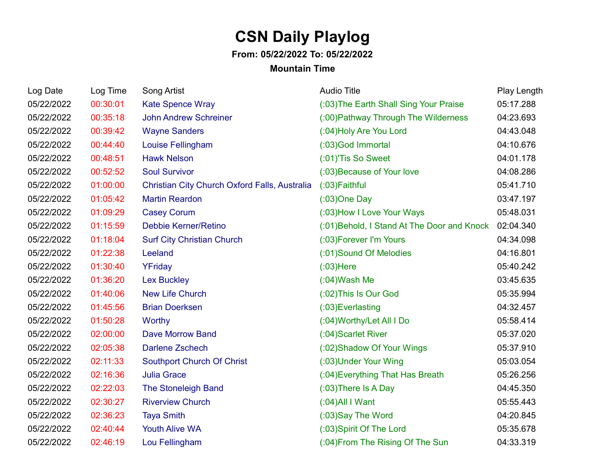## **CSN Daily Playlog**

## **From: 05/22/2022 To: 05/22/2022**

## **Mountain Time**

| Log Date   | Log Time | Song Artist                                   | <b>Audio Title</b>                          | Play Length |
|------------|----------|-----------------------------------------------|---------------------------------------------|-------------|
| 05/22/2022 | 00:30:01 | <b>Kate Spence Wray</b>                       | (:03) The Earth Shall Sing Your Praise      | 05:17.288   |
| 05/22/2022 | 00:35:18 | <b>John Andrew Schreiner</b>                  | (:00) Pathway Through The Wilderness        | 04:23.693   |
| 05/22/2022 | 00:39:42 | <b>Wayne Sanders</b>                          | (:04) Holy Are You Lord                     | 04:43.048   |
| 05/22/2022 | 00:44:40 | Louise Fellingham                             | (:03)God Immortal                           | 04:10.676   |
| 05/22/2022 | 00:48:51 | <b>Hawk Nelson</b>                            | (:01)'Tis So Sweet                          | 04:01.178   |
| 05/22/2022 | 00:52:52 | <b>Soul Survivor</b>                          | (:03) Because of Your love                  | 04:08.286   |
| 05/22/2022 | 01:00:00 | Christian City Church Oxford Falls, Australia | (:03) Faithful                              | 05:41.710   |
| 05/22/2022 | 01:05:42 | <b>Martin Reardon</b>                         | $(03)$ One Day                              | 03:47.197   |
| 05/22/2022 | 01:09:29 | <b>Casey Corum</b>                            | (:03) How I Love Your Ways                  | 05:48.031   |
| 05/22/2022 | 01:15:59 | <b>Debbie Kerner/Retino</b>                   | (:01) Behold, I Stand At The Door and Knock | 02:04.340   |
| 05/22/2022 | 01:18:04 | <b>Surf City Christian Church</b>             | (:03) Forever I'm Yours                     | 04:34.098   |
| 05/22/2022 | 01:22:38 | Leeland                                       | (:01)Sound Of Melodies                      | 04:16.801   |
| 05/22/2022 | 01:30:40 | YFriday                                       | $(03)$ Here                                 | 05:40.242   |
| 05/22/2022 | 01:36:20 | <b>Lex Buckley</b>                            | $(0.04)$ Wash Me                            | 03:45.635   |
| 05/22/2022 | 01:40:06 | <b>New Life Church</b>                        | (:02) This Is Our God                       | 05:35.994   |
| 05/22/2022 | 01:45:56 | <b>Brian Doerksen</b>                         | (:03) Everlasting                           | 04:32.457   |
| 05/22/2022 | 01:50:28 | <b>Worthy</b>                                 | (:04) Worthy/Let All I Do                   | 05:58.414   |
| 05/22/2022 | 02:00:00 | <b>Dave Morrow Band</b>                       | (:04) Scarlet River                         | 05:37.020   |
| 05/22/2022 | 02:05:38 | <b>Darlene Zschech</b>                        | (:02) Shadow Of Your Wings                  | 05:37.910   |
| 05/22/2022 | 02:11:33 | <b>Southport Church Of Christ</b>             | (:03) Under Your Wing                       | 05:03.054   |
| 05/22/2022 | 02:16:36 | <b>Julia Grace</b>                            | (:04) Everything That Has Breath            | 05:26.256   |
| 05/22/2022 | 02:22:03 | The Stoneleigh Band                           | $(0.03)$ There Is A Day                     | 04:45.350   |
| 05/22/2022 | 02:30:27 | <b>Riverview Church</b>                       | $(0.04)$ All I Want                         | 05:55.443   |
| 05/22/2022 | 02:36:23 | <b>Taya Smith</b>                             | (:03)Say The Word                           | 04:20.845   |
| 05/22/2022 | 02:40:44 | <b>Youth Alive WA</b>                         | (:03) Spirit Of The Lord                    | 05:35.678   |
| 05/22/2022 | 02:46:19 | Lou Fellingham                                | (:04) From The Rising Of The Sun            | 04:33.319   |
|            |          |                                               |                                             |             |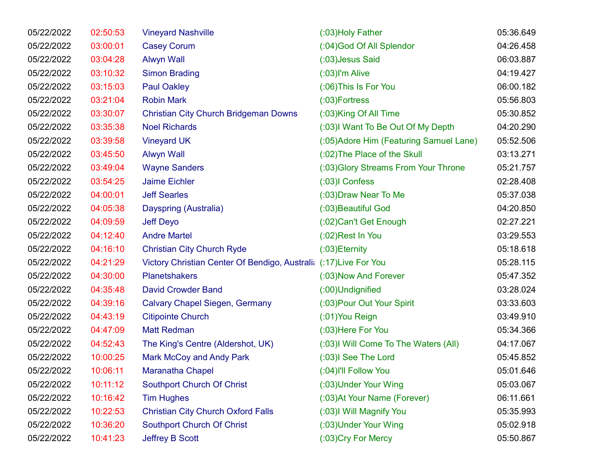| 05/22/2022 | 02:50:53 | <b>Vineyard Nashville</b>                                         | (:03) Holy Father                       | 05:36.649 |
|------------|----------|-------------------------------------------------------------------|-----------------------------------------|-----------|
| 05/22/2022 | 03:00:01 | <b>Casey Corum</b>                                                | (:04) God Of All Splendor               | 04:26.458 |
| 05/22/2022 | 03:04:28 | <b>Alwyn Wall</b>                                                 | (:03) Jesus Said                        | 06:03.887 |
| 05/22/2022 | 03:10:32 | <b>Simon Brading</b>                                              | $(03)$ I'm Alive                        | 04:19.427 |
| 05/22/2022 | 03:15:03 | <b>Paul Oakley</b>                                                | (:06) This Is For You                   | 06:00.182 |
| 05/22/2022 | 03:21:04 | <b>Robin Mark</b>                                                 | $(03)$ Fortress                         | 05:56.803 |
| 05/22/2022 | 03:30:07 | <b>Christian City Church Bridgeman Downs</b>                      | (:03)King Of All Time                   | 05:30.852 |
| 05/22/2022 | 03:35:38 | <b>Noel Richards</b>                                              | (:03) Want To Be Out Of My Depth        | 04:20.290 |
| 05/22/2022 | 03:39:58 | <b>Vineyard UK</b>                                                | (:05) Adore Him (Featuring Samuel Lane) | 05:52.506 |
| 05/22/2022 | 03:45:50 | <b>Alwyn Wall</b>                                                 | (:02) The Place of the Skull            | 03:13.271 |
| 05/22/2022 | 03:49:04 | <b>Wayne Sanders</b>                                              | (:03) Glory Streams From Your Throne    | 05:21.757 |
| 05/22/2022 | 03:54:25 | <b>Jaime Eichler</b>                                              | $(0.03)$ I Confess                      | 02:28.408 |
| 05/22/2022 | 04:00:01 | <b>Jeff Searles</b>                                               | (:03) Draw Near To Me                   | 05:37.038 |
| 05/22/2022 | 04:05:38 | Dayspring (Australia)                                             | (:03) Beautiful God                     | 04:20.850 |
| 05/22/2022 | 04:09:59 | <b>Jeff Deyo</b>                                                  | (:02) Can't Get Enough                  | 02:27.221 |
| 05/22/2022 | 04:12:40 | <b>Andre Martel</b>                                               | (:02)Rest In You                        | 03:29.553 |
| 05/22/2022 | 04:16:10 | <b>Christian City Church Ryde</b>                                 | $(03)$ Eternity                         | 05:18.618 |
| 05/22/2022 | 04:21:29 | Victory Christian Center Of Bendigo, Australia (:17) Live For You |                                         | 05:28.115 |
| 05/22/2022 | 04:30:00 | <b>Planetshakers</b>                                              | (:03) Now And Forever                   | 05:47.352 |
| 05/22/2022 | 04:35:48 | <b>David Crowder Band</b>                                         | (:00)Undignified                        | 03:28.024 |
| 05/22/2022 | 04:39:16 | <b>Calvary Chapel Siegen, Germany</b>                             | (:03) Pour Out Your Spirit              | 03:33.603 |
| 05/22/2022 | 04:43:19 | <b>Citipointe Church</b>                                          | $(01)$ You Reign                        | 03:49.910 |
| 05/22/2022 | 04:47:09 | <b>Matt Redman</b>                                                | (:03) Here For You                      | 05:34.366 |
| 05/22/2022 | 04:52:43 | The King's Centre (Aldershot, UK)                                 | (:03) Will Come To The Waters (All)     | 04:17.067 |
| 05/22/2022 | 10:00:25 | <b>Mark McCoy and Andy Park</b>                                   | (:03)I See The Lord                     | 05:45.852 |
| 05/22/2022 | 10:06:11 | Maranatha Chapel                                                  | (:04)I'll Follow You                    | 05:01.646 |
| 05/22/2022 | 10:11:12 | Southport Church Of Christ                                        | (:03) Under Your Wing                   | 05:03.067 |
| 05/22/2022 | 10:16:42 | <b>Tim Hughes</b>                                                 | (:03) At Your Name (Forever)            | 06:11.661 |
| 05/22/2022 | 10:22:53 | <b>Christian City Church Oxford Falls</b>                         | (:03)I Will Magnify You                 | 05:35.993 |
| 05/22/2022 | 10:36:20 | Southport Church Of Christ                                        | (:03) Under Your Wing                   | 05:02.918 |
| 05/22/2022 | 10:41:23 | Jeffrey B Scott                                                   | (:03) Cry For Mercy                     | 05:50.867 |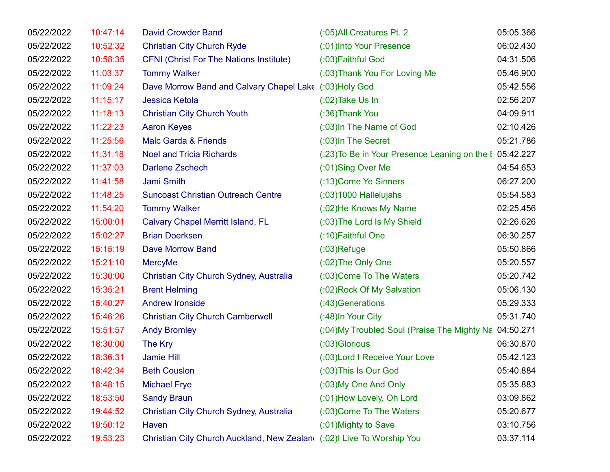| 05/22/2022 | 10:47:14 | <b>David Crowder Band</b>                                              | (:05) All Creatures Pt. 2                               | 05:05.366 |
|------------|----------|------------------------------------------------------------------------|---------------------------------------------------------|-----------|
| 05/22/2022 | 10:52:32 | <b>Christian City Church Ryde</b>                                      | (:01) Into Your Presence                                | 06:02.430 |
| 05/22/2022 | 10:58:35 | <b>CFNI (Christ For The Nations Institute)</b>                         | (:03) Faithful God                                      | 04:31.506 |
| 05/22/2022 | 11:03:37 | <b>Tommy Walker</b>                                                    | (:03) Thank You For Loving Me                           | 05:46.900 |
| 05/22/2022 | 11:09:24 | Dave Morrow Band and Calvary Chapel Lake (:03)Holy God                 |                                                         | 05:42.556 |
| 05/22/2022 | 11:15:17 | <b>Jessica Ketola</b>                                                  | $(0.02)$ Take Us In                                     | 02:56.207 |
| 05/22/2022 | 11:18:13 | <b>Christian City Church Youth</b>                                     | (:36) Thank You                                         | 04:09.911 |
| 05/22/2022 | 11:22:23 | <b>Aaron Keyes</b>                                                     | (:03) In The Name of God                                | 02:10.426 |
| 05/22/2022 | 11:25:56 | Malc Garda & Friends                                                   | (:03)In The Secret                                      | 05:21.786 |
| 05/22/2022 | 11:31:18 | <b>Noel and Tricia Richards</b>                                        | (:23) To Be in Your Presence Leaning on the I 05:42.227 |           |
| 05/22/2022 | 11:37:03 | <b>Darlene Zschech</b>                                                 | (:01)Sing Over Me                                       | 04:54.653 |
| 05/22/2022 | 11:41:58 | Jami Smith                                                             | (:13) Come Ye Sinners                                   | 06:27.200 |
| 05/22/2022 | 11:48:25 | <b>Suncoast Christian Outreach Centre</b>                              | $(03)1000$ Hallelujahs                                  | 05:54.583 |
| 05/22/2022 | 11:54:20 | <b>Tommy Walker</b>                                                    | (:02) He Knows My Name                                  | 02:25.456 |
| 05/22/2022 | 15:00:01 | <b>Calvary Chapel Merritt Island, FL</b>                               | (:03) The Lord Is My Shield                             | 02:26.626 |
| 05/22/2022 | 15:02:27 | <b>Brian Doerksen</b>                                                  | (:10) Faithful One                                      | 06:30.257 |
| 05/22/2022 | 15:15:19 | Dave Morrow Band                                                       | $(03)$ Refuge                                           | 05:50.866 |
| 05/22/2022 | 15:21:10 | <b>MercyMe</b>                                                         | $(0.02)$ The Only One                                   | 05:20.557 |
| 05/22/2022 | 15:30:00 | Christian City Church Sydney, Australia                                | (:03) Come To The Waters                                | 05:20.742 |
| 05/22/2022 | 15:35:21 | <b>Brent Helming</b>                                                   | (:02) Rock Of My Salvation                              | 05:06.130 |
| 05/22/2022 | 15:40:27 | <b>Andrew Ironside</b>                                                 | (:43) Generations                                       | 05:29.333 |
| 05/22/2022 | 15:46:26 | <b>Christian City Church Camberwell</b>                                | (:48) In Your City                                      | 05:31.740 |
| 05/22/2022 | 15:51:57 | <b>Andy Bromley</b>                                                    | (:04) My Troubled Soul (Praise The Mighty Na 04:50.271  |           |
| 05/22/2022 | 18:30:00 | The Kry                                                                | (:03) Glorious                                          | 06:30.870 |
| 05/22/2022 | 18:36:31 | <b>Jamie Hill</b>                                                      | (:03) Lord I Receive Your Love                          | 05:42.123 |
| 05/22/2022 | 18:42:34 | <b>Beth Couslon</b>                                                    | (:03) This Is Our God                                   | 05:40.884 |
| 05/22/2022 | 18:48:15 | <b>Michael Frye</b>                                                    | (:03) My One And Only                                   | 05:35.883 |
| 05/22/2022 | 18:53:50 | <b>Sandy Braun</b>                                                     | (:01) How Lovely, Oh Lord                               | 03:09.862 |
| 05/22/2022 | 19:44:52 | Christian City Church Sydney, Australia                                | (:03) Come To The Waters                                | 05:20.677 |
| 05/22/2022 | 19:50:12 | Haven                                                                  | (:01) Mighty to Save                                    | 03:10.756 |
| 05/22/2022 | 19:53:23 | Christian City Church Auckland, New Zealan( (:02)I Live To Worship You |                                                         | 03:37.114 |